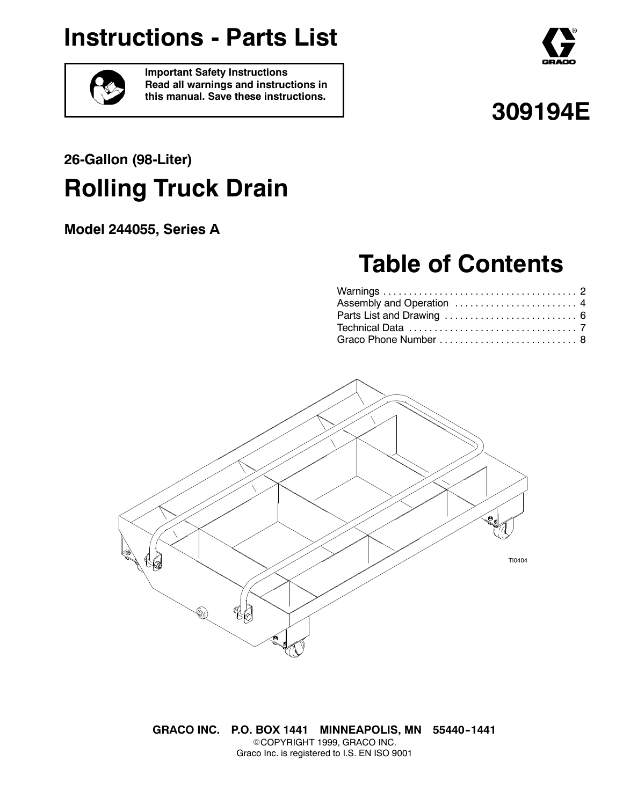# **Instructions - Parts List**





**Important Safety Instructions Read all warnings and instructions in this manual. Save these instructions.**

# **309194E**

# **26-Gallon (98-Liter) Rolling Truck Drain**

**Model 244055, Series A**

# **Table of Contents**

| Assembly and Operation  4 |  |
|---------------------------|--|
|                           |  |
|                           |  |
| Graco Phone Number  8     |  |



**GRACO INC. P.O. BOX 1441 MINNEAPOLIS, MN 55440--1441** ©COPYRIGHT 1999, GRACO INC. Graco Inc. is registered to I.S. EN ISO 9001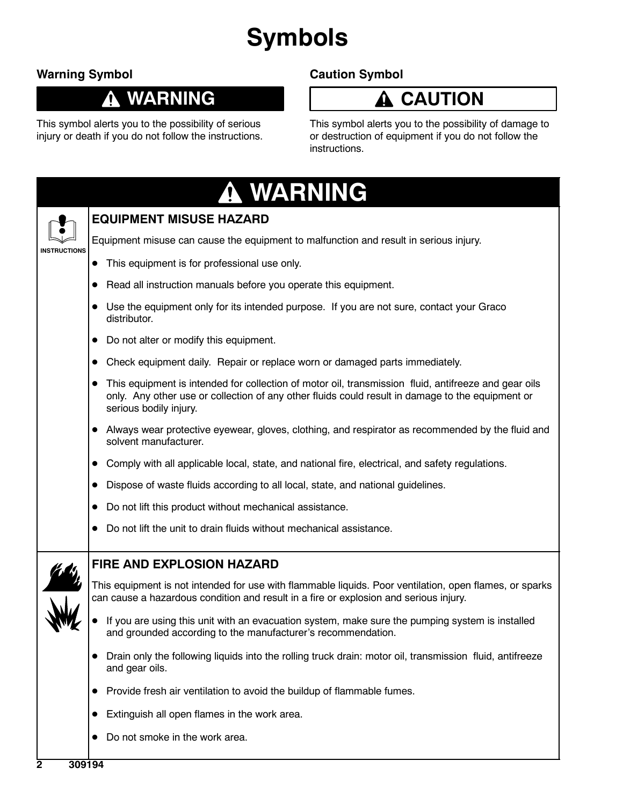# **Symbols**

## **Warning Symbol**

## **WARNING**

This symbol alerts you to the possibility of serious injury or death if you do not follow the instructions.

## **Caution Symbol**

## **CAUTION**

This symbol alerts you to the possibility of damage to or destruction of equipment if you do not follow the instructions.

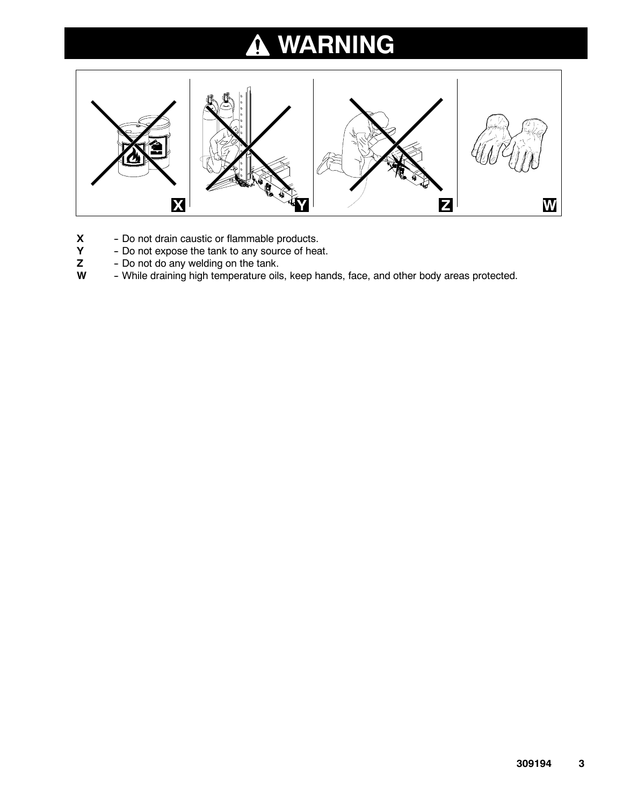### **WARNING**  $\boldsymbol{\Lambda}$



- **X** Do not drain caustic or flammable products.<br>**Y** Do not expose the tank to any source of hea
- **Y** Do not expose the tank to any source of heat.<br>**Z** Do not do any welding on the tank.
- **Z** Do not do any welding on the tank.<br>**W** While draining high temperature oils
- While draining high temperature oils, keep hands, face, and other body areas protected.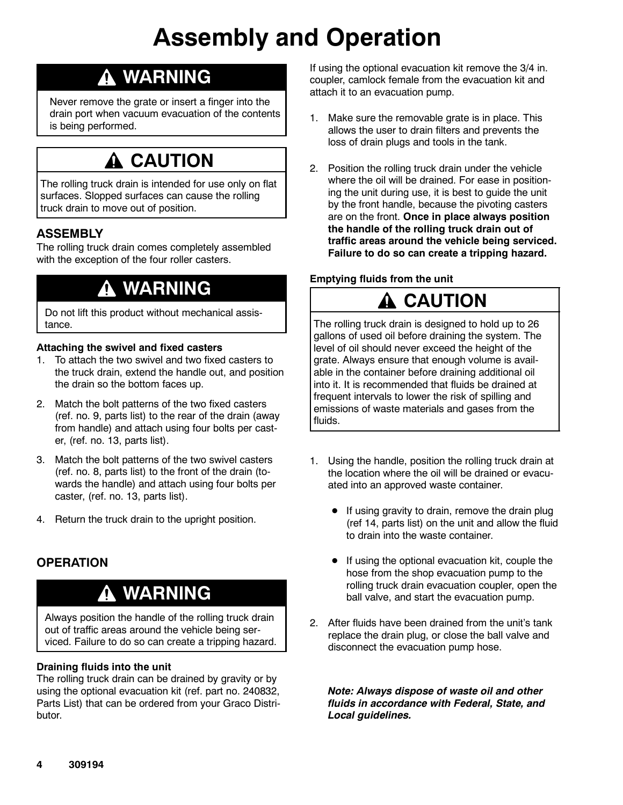# **Assembly and Operation**

## **WARNING**

Never remove the grate or insert a finger into the drain port when vacuum evacuation of the contents is being performed.

## **CAUTION**

The rolling truck drain is intended for use only on flat surfaces. Slopped surfaces can cause the rolling truck drain to move out of position.

## **ASSEMBLY**

The rolling truck drain comes completely assembled with the exception of the four roller casters.

## **WARNING**

Do not lift this product without mechanical assistance.

#### **Attaching the swivel and fixed casters**

- 1. To attach the two swivel and two fixed casters to the truck drain, extend the handle out, and position the drain so the bottom faces up.
- 2. Match the bolt patterns of the two fixed casters (ref. no. 9, parts list) to the rear of the drain (away from handle) and attach using four bolts per caster, (ref. no. 13, parts list).
- 3. Match the bolt patterns of the two swivel casters (ref. no. 8, parts list) to the front of the drain (towards the handle) and attach using four bolts per caster, (ref. no. 13, parts list).
- 4. Return the truck drain to the upright position.

### **OPERATION**

## **WARNING**

Always position the handle of the rolling truck drain out of traffic areas around the vehicle being serviced. Failure to do so can create a tripping hazard.

#### **Draining fluids into the unit**

The rolling truck drain can be drained by gravity or by using the optional evacuation kit (ref. part no. 240832, Parts List) that can be ordered from your Graco Distributor.

If using the optional evacuation kit remove the 3/4 in. coupler, camlock female from the evacuation kit and attach it to an evacuation pump.

- 1. Make sure the removable grate is in place. This allows the user to drain filters and prevents the loss of drain plugs and tools in the tank.
- 2. Position the rolling truck drain under the vehicle where the oil will be drained. For ease in positioning the unit during use, it is best to guide the unit by the front handle, because the pivoting casters are on the front. **Once in place always position the handle of the rolling truck drain out of traffic areas around the vehicle being serviced. Failure to do so can create a tripping hazard.**

#### **Emptying fluids from the unit**

# **CAUTION**

The rolling truck drain is designed to hold up to 26 gallons of used oil before draining the system. The level of oil should never exceed the height of the grate. Always ensure that enough volume is available in the container before draining additional oil into it. It is recommended that fluids be drained at frequent intervals to lower the risk of spilling and emissions of waste materials and gases from the fluids.

- 1. Using the handle, position the rolling truck drain at the location where the oil will be drained or evacuated into an approved waste container.
	- $\bullet$  If using gravity to drain, remove the drain plug (ref 14, parts list) on the unit and allow the fluid to drain into the waste container.
	- If using the optional evacuation kit, couple the hose from the shop evacuation pump to the rolling truck drain evacuation coupler, open the ball valve, and start the evacuation pump.
- 2. After fluids have been drained from the unit's tank replace the drain plug, or close the ball valve and disconnect the evacuation pump hose.

*Note: Always dispose of waste oil and other fluids in accordance with Federal, State, and Local guidelines.*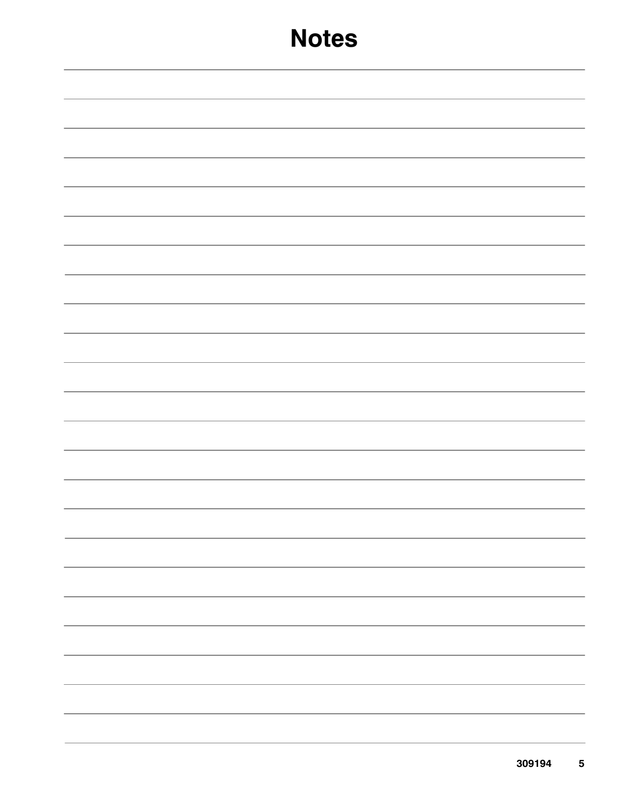# **Notes**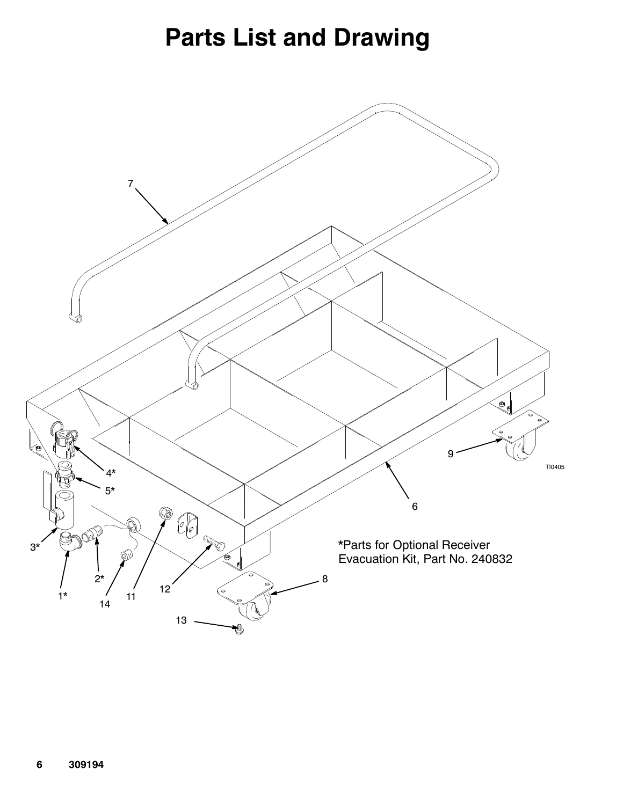# **Parts List and Drawing**

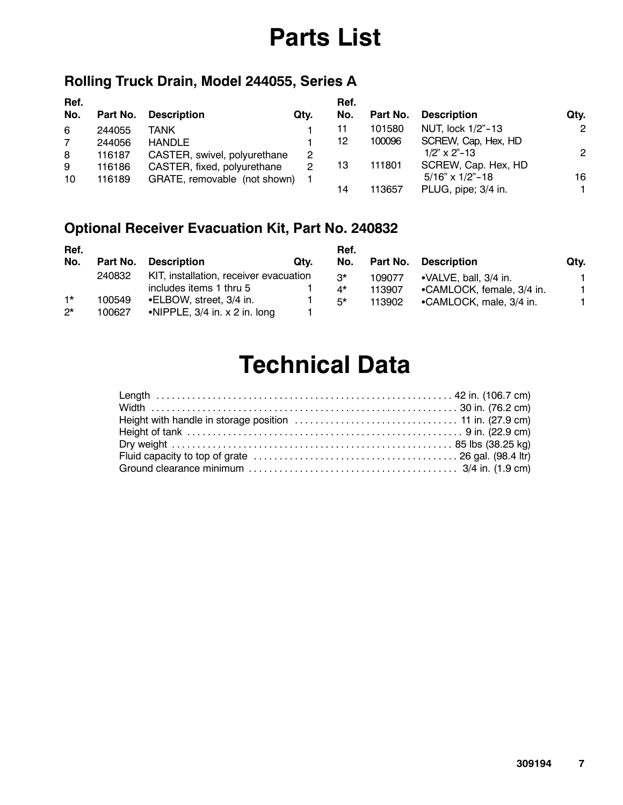# **Parts List**

## **Rolling Truck Drain, Model 244055, Series A**

| Ref.           |          |                              |      | Ref. |          |                          |                |
|----------------|----------|------------------------------|------|------|----------|--------------------------|----------------|
| No.            | Part No. | <b>Description</b>           | Qtv. | No.  | Part No. | <b>Description</b>       | Qty.           |
| 6              | 244055   | TANK                         |      | 11   | 101580   | NUT, lock 1/2"-13        | $\overline{2}$ |
| $\overline{7}$ | 244056   | <b>HANDLE</b>                |      | 12   | 100096   | SCREW, Cap, Hex, HD      |                |
| 8              | 116187   | CASTER, swivel, polyurethane | 2    |      |          | $1/2$ " x 2"-13          | $\mathbf{2}$   |
| 9              | 116186   | CASTER, fixed, polyurethane  | 2    | 13   | 111801   | SCREW, Cap. Hex, HD      |                |
| 10             | 116189   | GRATE, removable (not shown) |      |      |          | $5/16" \times 1/2" - 18$ | 16             |
|                |          |                              |      | 14   | 113657   | PLUG, pipe; 3/4 in.      |                |

## **Optional Receiver Evacuation Kit, Part No. 240832**

| Ref.        |          |                                        |      | Ref.        |        |                                |      |
|-------------|----------|----------------------------------------|------|-------------|--------|--------------------------------|------|
| No.         | Part No. | <b>Description</b>                     | Qtv. | No.         |        | Part No. Description           | Qtv. |
|             | 240832   | KIT, installation, receiver evacuation |      | $3^{\star}$ | 109077 | $\bullet$ VALVE, ball, 3/4 in. |      |
|             |          | includes items 1 thru 5                |      | 4*          | 113907 | •CAMLOCK, female, 3/4 in.      |      |
| $1*$        | 100549   | •ELBOW, street, 3/4 in.                |      | $5*$        | 113902 | •CAMLOCK, male, 3/4 in.        |      |
| $2^{\star}$ | 100627   | •NIPPLE, $3/4$ in. x 2 in. long        |      |             |        |                                |      |

# **Technical Data**